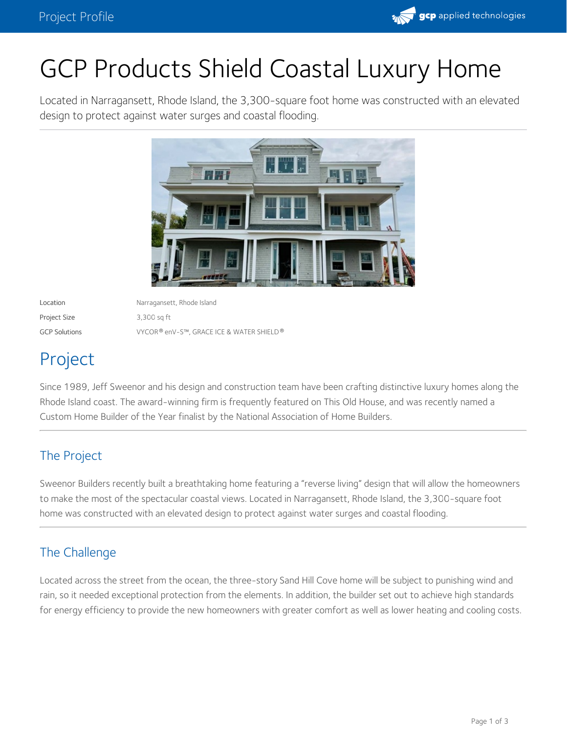

# GCP Products Shield Coastal Luxury Home

Located in Narragansett, Rhode Island, the 3,300-square foot home was constructed with an elevated design to protect against water surges and coastal flooding.



Project Size 3,300 sq ft

Location Narragansett, Rhode Island GCP Solutions VYCOR enV-S™, GRACE ICE & WATER SHIELD ® ®

# Project

Since 1989, Jeff Sweenor and his design and construction team have been crafting distinctive luxury homes along the Rhode Island coast. The award-winning firm is frequently featured on This Old House, and was recently named a Custom Home Builder of the Year finalist by the National Association of Home Builders.

## The Project

Sweenor Builders recently built a breathtaking home featuring a "reverse living" design that will allow the homeowners to make the most of the spectacular coastal views. Located in Narragansett, Rhode Island, the 3,300-square foot home was constructed with an elevated design to protect against water surges and coastal flooding.

# The Challenge

Located across the street from the ocean, the three-story Sand Hill Cove [home](https://sweenorbuilders.com/portfolio/sand-hill-cove-narragansett/) will be subject to punishing wind and rain, so it needed exceptional protection from the elements. In addition, the builder set out to achieve high standards for energy efficiency to provide the new homeowners with greater comfort as well as lower heating and cooling costs.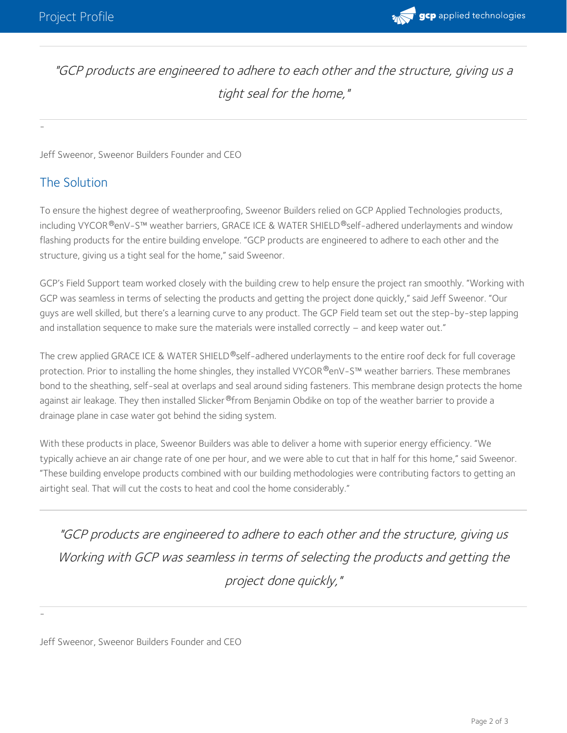

"GCP products are engineered to adhere to each other and the structure, giving us <sup>a</sup> tight seal for the home,"

Jeff Sweenor, Sweenor Builders Founder and CEO

#### The Solution

-

To ensure the highest degree of weatherproofing, Sweenor Builders relied on GCP Applied Technologies products, including VYCOR®enV-S™ [weather](https://gcpat.com/en/solutions/products/vycor-weather-barrier-flashing-tapes/vycor-env-s-weather-resistive-barrier) barriers, GRACE ICE & WATER SHIELD®self-adhered underlayments and window flashing products for the entire building envelope. "GCP products are engineered to adhere to each other and the structure, giving us a tight seal for the home," said Sweenor.

GCP's Field Support team worked closely with the building crew to help ensure the project ran smoothly. "Working with GCP was seamless in terms of selecting the products and getting the project done quickly," said Jeff Sweenor. "Our guys are well skilled, but there's a learning curve to any product. The GCP Field team set out the step-by-step lapping and installation sequence to make sure the materials were installed correctly – and keep water out."

The crew applied GRACE ICE & WATER SHIELD®self-adhered [underlayments](https://gcpat.com/en/solutions/products/grace-ice-water-shield-roofing-underlayment#overview) to the entire roof deck for full coverage protection. Prior to installing the home shingles, they installed VYCOR®enV-S™ weather barriers. These membranes bond to the sheathing, self-seal at overlaps and seal around siding fasteners. This membrane design protects the home against air leakage. They then installed Slicker®from Benjamin Obdike on top of the weather barrier to provide a drainage plane in case water got behind the siding system.

With these products in place, Sweenor Builders was able to deliver a home with superior energy efficiency. "We typically achieve an air change rate of one per hour, and we were able to cut that in half for this home," said Sweenor. "These building envelope products combined with our building methodologies were contributing factors to getting an airtight seal. That will cut the costs to heat and cool the home considerably."

"GCP products are engineered to adhere to each other and the structure, giving us Working with GCP was seamless in terms of selecting the products and getting the project done quickly,"

Jeff Sweenor, Sweenor Builders Founder and CEO

-